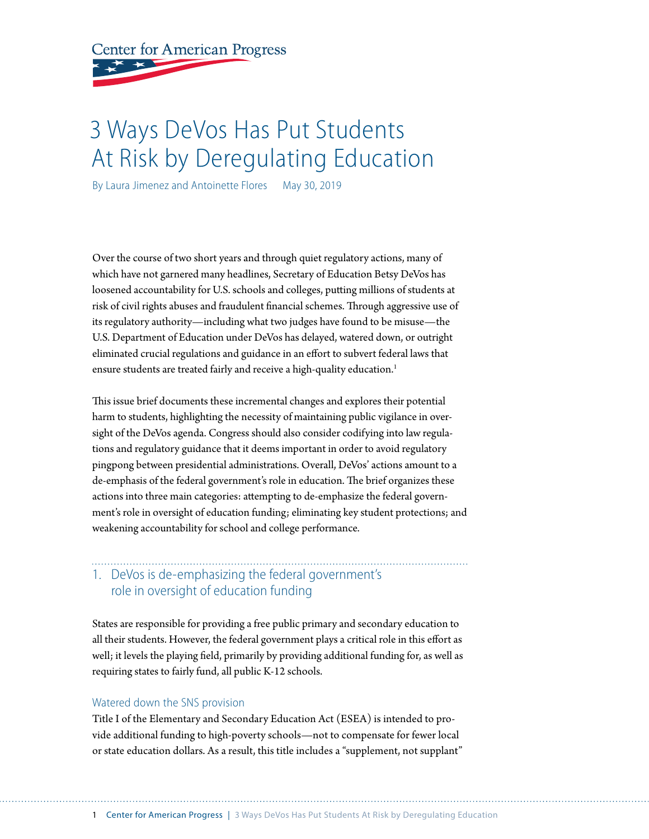**Center for American Progress** 

# 3 Ways DeVos Has Put Students At Risk by Deregulating Education

By Laura Jimenez and Antoinette Flores May 30, 2019

Over the course of two short years and through quiet regulatory actions, many of which have not garnered many headlines, Secretary of Education Betsy DeVos has loosened accountability for U.S. schools and colleges, putting millions of students at risk of civil rights abuses and fraudulent financial schemes. Through aggressive use of its regulatory authority—including what two judges have found to be misuse—the U.S. Department of Education under DeVos has delayed, watered down, or outright eliminated crucial regulations and guidance in an effort to subvert federal laws that ensure students are treated fairly and receive a high-quality education.<sup>1</sup>

This issue brief documents these incremental changes and explores their potential harm to students, highlighting the necessity of maintaining public vigilance in oversight of the DeVos agenda. Congress should also consider codifying into law regulations and regulatory guidance that it deems important in order to avoid regulatory pingpong between presidential administrations. Overall, DeVos' actions amount to a de-emphasis of the federal government's role in education. The brief organizes these actions into three main categories: attempting to de-emphasize the federal government's role in oversight of education funding; eliminating key student protections; and weakening accountability for school and college performance.

## 1. DeVos is de-emphasizing the federal government's role in oversight of education funding

States are responsible for providing a free public primary and secondary education to all their students. However, the federal government plays a critical role in this effort as well; it levels the playing field, primarily by providing additional funding for, as well as requiring states to fairly fund, all public K-12 schools.

### Watered down the SNS provision

Title I of the Elementary and Secondary Education Act (ESEA) is intended to provide additional funding to high-poverty schools—not to compensate for fewer local or state education dollars. As a result, this title includes a "supplement, not supplant"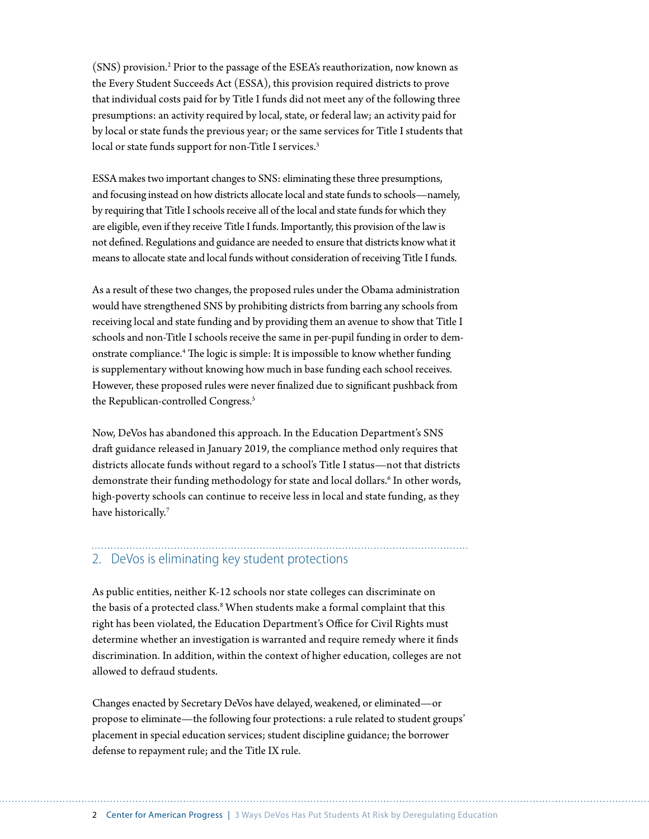(SNS) provision.<sup>2</sup> Prior to the passage of the ESEA's reauthorization, now known as the Every Student Succeeds Act (ESSA), this provision required districts to prove that individual costs paid for by Title I funds did not meet any of the following three presumptions: an activity required by local, state, or federal law; an activity paid for by local or state funds the previous year; or the same services for Title I students that local or state funds support for non-Title I services.<sup>3</sup>

ESSA makes two important changes to SNS: eliminating these three presumptions, and focusing instead on how districts allocate local and state funds to schools—namely, by requiring that Title I schools receive all of the local and state funds for which they are eligible, even if they receive Title I funds. Importantly, this provision of the law is not defined. Regulations and guidance are needed to ensure that districts know what it means to allocate state and local funds without consideration of receiving Title I funds.

As a result of these two changes, the proposed rules under the Obama administration would have strengthened SNS by prohibiting districts from barring any schools from receiving local and state funding and by providing them an avenue to show that Title I schools and non-Title I schools receive the same in per-pupil funding in order to demonstrate compliance.<sup>4</sup> The logic is simple: It is impossible to know whether funding is supplementary without knowing how much in base funding each school receives. However, these proposed rules were never finalized due to significant [pushback](https://republicans-edlabor.house.gov/news/documentsingle.aspx?DocumentID=401058) from the Republican-controlled Congress.<sup>5</sup>

Now, DeVos has abandoned this approach. In the Education Department's SNS draft guidance released in January 2019, the compliance method only requires that districts allocate funds without regard to a school's Title I status—not that districts demonstrate their funding methodology for state and local dollars.<sup>6</sup> In other words, high-poverty schools can continue to receive [less](https://www2.ed.gov/rschstat/eval/title-i/school-level-expenditures/school-level-expenditures.pdf) in local and state funding, as they have historically.<sup>7</sup>

### 2. DeVos is eliminating key student protections

As public entities, neither K-12 schools nor state colleges can discriminate on the basis of a [protected](https://legcounsel.house.gov/Comps/Civil%20Rights%20Act%20Of%201964.pdf) class.<sup>8</sup> When students make a formal complaint that this right has been violated, the Education Department's Office for Civil Rights must determine whether an investigation is warranted and require remedy where it finds discrimination. In addition, within the context of higher education, colleges are not allowed to defraud students.

Changes enacted by Secretary DeVos have delayed, weakened, or eliminated—or propose to eliminate—the following four protections: a rule related to student groups' placement in special education services; student discipline guidance; the borrower defense to repayment rule; and the Title IX rule.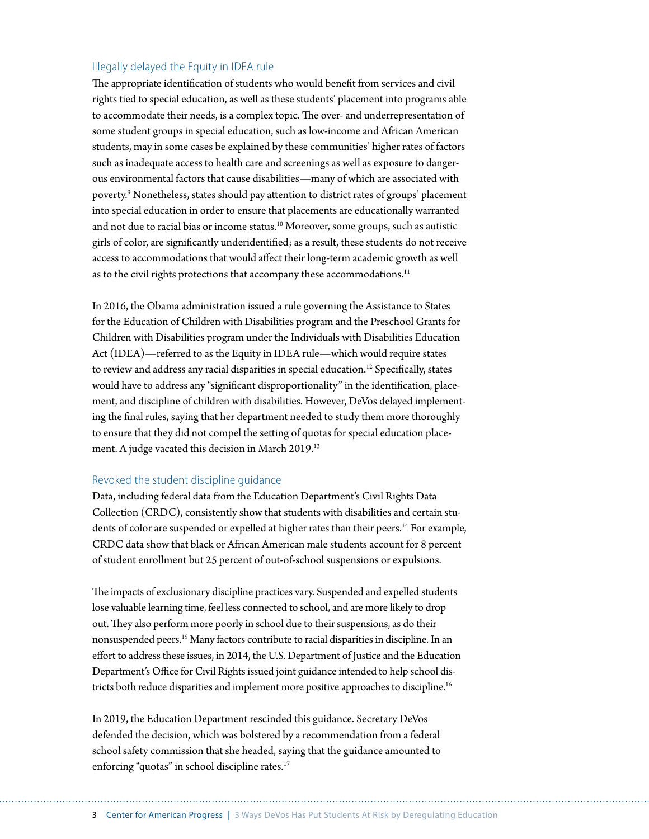### Illegally delayed the Equity in IDEA rule

The appropriate identification of students who would benefit from services and civil rights tied to special education, as well as these students' placement into programs able to accommodate their needs, is a complex topic. The over- and underrepresentation of some student groups in special education, such as low-income and African American students, may in some cases be explained by these communities' higher rates of factors such as inadequate access to health care and screenings as well as exposure to dangerous environmental factors that cause disabilities—many of which are associated with poverty.9 Nonetheless, states should pay attention to district rates of groups' placement into special education in order to ensure that placements are educationally warranted and not due to racial bias or income status.<sup>10</sup> Moreover, some groups, such as autistic girls of color, are significantly underidentified; as a result, these students do not receive access to accommodations that would affect their long-term academic growth as well as to the civil rights protections that accompany these accommodations.<sup>11</sup>

In 2016, the Obama administration issued a rule governing the Assistance to States for the Education of Children with Disabilities program and the Preschool Grants for Children with Disabilities program under the Individuals with Disabilities Education Act (IDEA)—referred to as the Equity in IDEA rule—which would require states to review and address any racial disparities in special education.<sup>12</sup> Specifically, states would have to address any "significant disproportionality" in the identification, placement, and discipline of children with disabilities. However, DeVos delayed implementing the final rules, saying that her department needed to study them more thoroughly to ensure that they did not compel the setting of quotas for special education placement. A judge vacated this decision in March 2019.<sup>13</sup>

### Revoked the student discipline guidance

[Data,](https://www2.ed.gov/about/offices/list/ocr/docs/school-climate-and-safety.pdf) including federal data from the Education Department's Civil Rights Data Collection (CRDC), consistently show that students with disabilities and certain students of color are suspended or expelled at higher rates than their peers.<sup>14</sup> For example, CRDC data show that black or African American male students account for 8 percent of student enrollment but 25 percent of out-of-school suspensions or expulsions.

The impacts of exclusionary discipline practices vary. Suspended and expelled students lose valuable learning time, feel less connected to school, and are more likely to drop out. They also perform more poorly in school due to their suspensions, as do their nonsuspended peers.15 Many factors contribute to racial disparities in discipline. In an effort to address these issues, in 2014, the U.S. Department of Justice and the Education Department's Office for Civil Rights issued joint guidance intended to help school districts both reduce disparities and implement more positive approaches to discipline.<sup>16</sup>

In 2019, the Education Department rescinded this guidance. Secretary DeVos defended the decision, which was bolstered by a recommendation from a federal school safety commission that she headed, saying that the guidance amounted to enforcing "quotas" in school discipline rates.<sup>17</sup>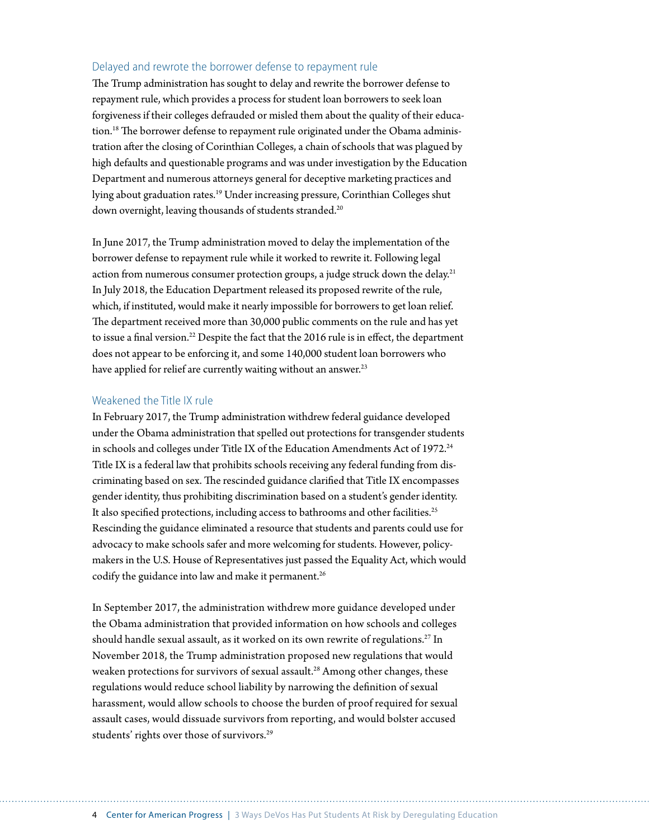#### Delayed and rewrote the borrower defense to repayment rule

The Trump administration has sought to delay and rewrite the borrower defense to repayment rule, which provides a process for student loan borrowers to seek loan forgiveness if their colleges defrauded or misled them about the quality of their education.<sup>18</sup> The borrower defense to repayment rule originated under the Obama administration after the closing of [Corinthian Colleges](https://www.washingtonpost.com/news/grade-point/wp/2016/09/29/feds-found-widespread-fraud-at-corinthian-colleges-why-are-students-still-paying-the-price/?utm_term=.0a0408f722d9), a chain of schools that was plagued by high defaults and questionable programs and was under investigation by the Education Department and numerous attorneys general for deceptive marketing practices and lying about graduation rates.19 Under increasing pressure, Corinthian Colleges shut down overnight, leaving thousands of students stranded.<sup>20</sup>

In June 2017, the Trump administration moved to delay the implementation of the borrower defense to repayment rule while it worked to rewrite it. Following [legal](https://www.americanprogress.org/issues/education-postsecondary/news/2018/10/02/458814/lawsuits-challenging-devos-anti-student-higher-education-agenda/)  [action](https://www.americanprogress.org/issues/education-postsecondary/news/2018/10/02/458814/lawsuits-challenging-devos-anti-student-higher-education-agenda/) from numerous consumer protection groups, a judge struck down the delay.<sup>21</sup> In July 2018, the Education Department released its [proposed r](https://www.americanprogress.org/issues/education-postsecondary/news/2018/09/07/457631/department-educations-terrible-horrible-no-good-bad-borrower-defense-proposal/)ewrite of the rule, which, if instituted, would make it nearly impossible for borrowers to get loan relief. The department received more than [30,000](https://www.federalregister.gov/documents/2018/07/31/2018-15823/student-assistance-general-provisions-federal-perkins-loan-program-federal-family-education-loan) public comments on the rule and has yet to issue a final version.<sup>22</sup> Despite the fact that the 2016 rule is in effect, the department does not appear to be enforcing it, and some [140,000 s](https://www.chicagotribune.com/news/nationworld/politics/ct-devos-student-debt-relief-20190328-story.html)tudent loan borrowers who have applied for relief are currently waiting without an answer.<sup>23</sup>

#### Weakened the Title IX rule

In February 2017, the Trump administration [withdrew f](https://transequality.org/issues/resources/faq-on-the-withdrawal-of-federal-guidance-on-transgender-students)ederal guidance developed under the Obama administration that spelled out protections for transgender students in schools and colleges under Title IX of the Education Amendments Act of 1972.<sup>24</sup> Title IX is a federal law that prohibits schools receiving any federal funding from discriminating based on sex. The rescinded guidance clarified that Title IX encompasses gender identity, thus prohibiting discrimination based on a student's gender identity. It also specified protections, including access to bathrooms and other facilities.<sup>25</sup> Rescinding the guidance eliminated a resource that students and parents could use for advocacy to make schools safer and more welcoming for students. However, policymakers in the U.S. House of Representatives just passed the Equality Act, which would codify the guidance into law and make it permanent.<sup>26</sup>

In September 2017, the administration withdrew more guidance developed under the Obama administration that provided information on how schools and colleges should handle sexual assault, as it worked on its own rewrite of regulations.<sup>27</sup> In November 2018, the Trump administration proposed new regulations that would weaken protections for survivors of sexual assault.<sup>28</sup> Among other [changes](https://www.americanprogress.org/issues/education-postsecondary/news/2018/11/16/461181/4-ways-secretary-devos-proposed-title-ix-rule-will-fail-survivors-campus-sexual-assault/), these regulations would reduce school liability by narrowing the definition of sexual harassment, would allow schools to choose the burden of proof required for sexual assault cases, would dissuade survivors from reporting, and would bolster accused students' rights over those of survivors.<sup>29</sup>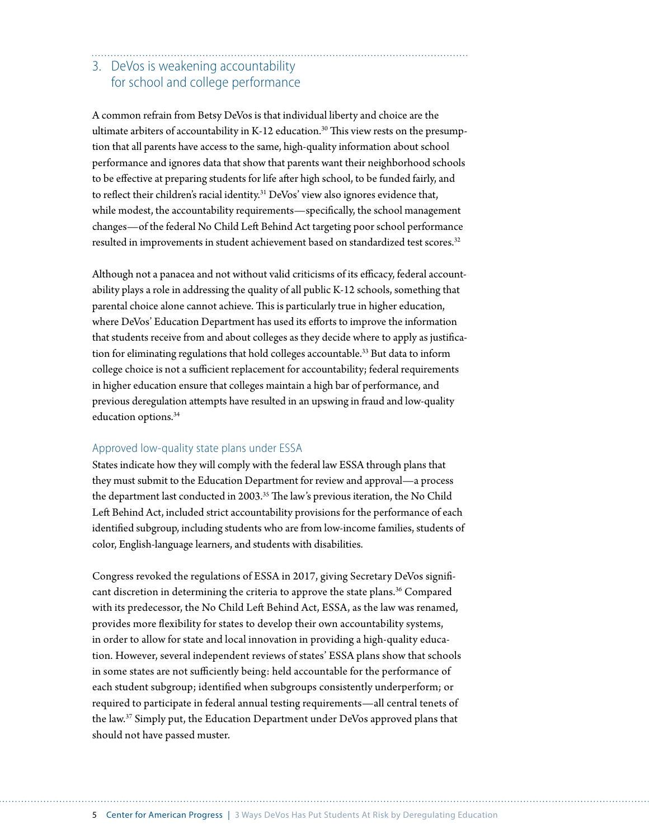# 3. DeVos is weakening accountability

# for school and college performance

A common refrain from Betsy DeVos is that individual liberty and choice are the ultimate arbiters of accountability in K-12 education.<sup>30</sup> This view rests on the presumption that all parents have access to the same, high-quality information about school performance and ignores data that show that parents want their neighborhood schools to be effective at preparing students for life after high school, to be funded fairly, and to reflect their children's racial identity.31 DeVos' view also ignores evidence that, while modest, the accountability requirements—specifically, the school management changes—of the federal No Child Left Behind Act targeting poor school performance resulted in improvements in student achievement based on standardized test scores.<sup>32</sup>

Although not a panacea and not without valid criticisms of its efficacy, federal accountability plays a role in addressing the quality of all public K-12 schools, something that parental choice alone cannot achieve. This is particularly true in higher education, where DeVos' Education Department has used its efforts to improve the information that students receive from and about colleges as they decide where to apply as justification for eliminating regulations that hold colleges accountable.<sup>33</sup> But data to inform college choice is not a sufficient replacement for accountability; federal requirements in higher education ensure that colleges maintain a high bar of performance, and previous deregulation attempts have [resulted i](https://www.americanprogress.org/issues/education-postsecondary/reports/2015/12/14/127200/hooked-on-accreditation-a-historical-perspective/)n an upswing in fraud and low-quality education options.<sup>34</sup>

### Approved low-quality state plans under ESSA

States indicate how they will comply with the federal law ESSA through plans that they must submit to the Education Department for review and approval—a process the department last conducted in 2003.<sup>35</sup> The law's previous iteration, the No Child Left Behind Act, included strict accountability provisions for the performance of each identified subgroup, including students who are from low-income families, students of color, English-language learners, and students with disabilities.

Congress revoked the regulations of ESSA in 2017, giving Secretary DeVos significant discretion in determining the criteria to approve the state plans.<sup>36</sup> Compared with its predecessor, the No Child Left Behind Act, ESSA, as the law was renamed, provides more flexibility for states to develop their own accountability systems, in order to allow for state and local innovation in providing a high-quality education. However, several independent reviews of states' ESSA plans show that schools in some states are not sufficiently being: held accountable for the performance of each student subgroup; identified when subgroups [consistently underperform;](https://blogs.edweek.org/edweek/campaign-k-12/2019/03/ESSA-states-subgroups-targeted-support.html) or required to participate in federal annual [testing](https://all4ed.org/press/new-analyses-identify-shortcomings-and-strengths-in-state-essa-plans/) requirements—all central tenets of the law.37 Simply put, the Education Department under DeVos approved plans that should not have passed muster.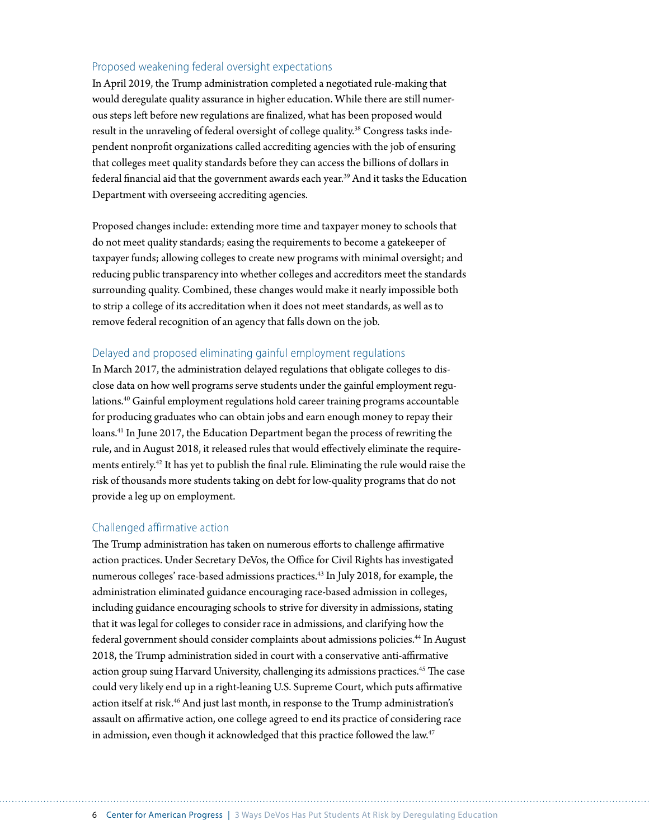### Proposed weakening federal oversight expectations

In April 2019, the Trump administration completed a negotiated rule-making that would deregulate quality assurance in higher education. While there are still numerous steps left before new regulations are finalized, what has been proposed would [result i](https://www.americanprogress.org/issues/education-postsecondary/reports/2019/04/18/468840/trump-administration-undoing-college-accreditation/)n the [unraveling o](https://www.americanprogress.org/issues/education-postsecondary/reports/2019/04/18/468840/trump-administration-undoing-college-accreditation/)f federal oversight of college quality.<sup>38</sup> Congress tasks independent nonprofit organizations called accrediting agencies with the job of ensuring that colleges meet quality standards before they can access the billions of dollars in federal financial aid that the government awards each year.<sup>39</sup> And it tasks the Education Department with overseeing accrediting agencies.

Proposed changes include: extending more time and taxpayer money to schools that do not meet quality standards; easing the requirements to become a gatekeeper of taxpayer funds; allowing colleges to create new programs with minimal oversight; and reducing public transparency into whether colleges and accreditors meet the standards surrounding quality. Combined, these changes would make it nearly impossible both to strip a college of its accreditation when it does not meet standards, as well as to remove federal recognition of an agency that falls down on the job.

#### Delayed and proposed eliminating gainful employment regulations

In [March 2017,](https://www.brookings.edu/interactives/tracking-deregulation-in-the-trump-era/) the administration delayed regulations that obligate colleges to disclose data on how well programs serve students under the gainful employment regulations.<sup>40</sup> Gainful employment regulations hold career training programs accountable for producing graduates who can obtain jobs and earn enough money to repay their loans.41 In June 2017, the Education Department began the process of rewriting the rule, and in August 2018, it released rules that would effectively eliminate the requirements entirely.42 It has yet to publish the final rule. Eliminating the rule would raise the risk of thousands more students taking on debt for low-quality programs that do not provide a leg up on employment.

### Challenged affirmative action

The Trump administration has taken on numerous efforts to challenge affirmative action practices. Under Secretary DeVos, the Office for Civil Rights has investigated numerous colleges' race-based admissions practices.43 In July 2018, for example, the administration eliminated guidance encouraging race-based admission in colleges, including guidance encouraging schools to strive for diversity in admissions, stating that it was legal for colleges to consider race in admissions, and clarifying how the federal government should consider complaints about admissions policies.<sup>44</sup> In August 2018, the Trump administration sided in court with a conservative anti-affirmative action group suing Harvard University, challenging its admissions practices.<sup>45</sup> The case could very likely end up in a right-leaning U.S. Supreme Court, which puts affirmative action itself at risk.<sup>46</sup> And just last month, in response to the Trump administration's assault on affirmative action, one college agreed to end its practice of considering race in admission, even though it acknowledged that this practice followed the law.<sup>47</sup>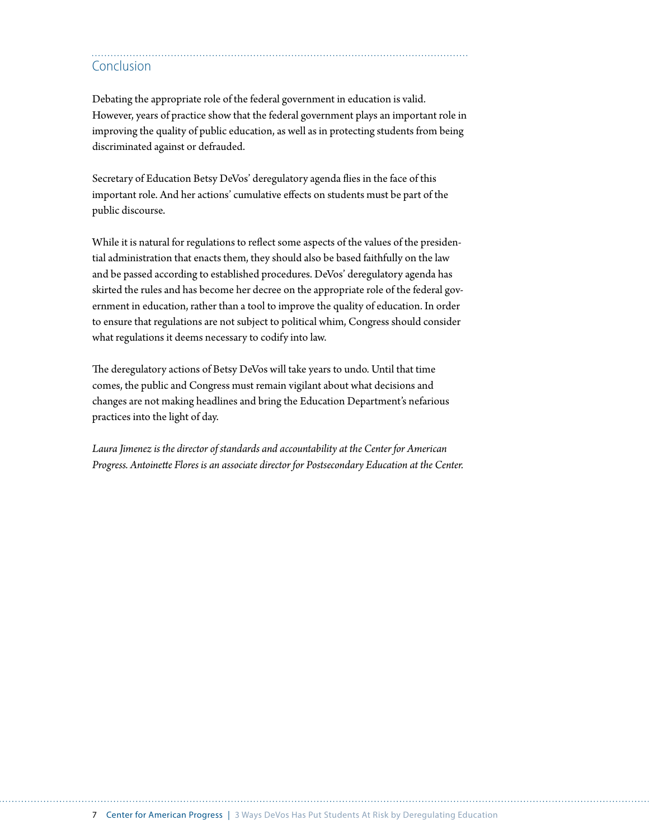### Conclusion

Debating the appropriate role of the federal government in education is valid. However, years of practice show that the federal government plays an important role in improving the quality of public education, as well as in protecting students from being discriminated against or defrauded.

Secretary of Education Betsy DeVos' deregulatory agenda flies in the face of this important role. And her actions' cumulative effects on students must be part of the public discourse.

While it is natural for regulations to reflect some aspects of the values of the presidential administration that enacts them, they should also be based faithfully on the law and be passed according to established procedures. DeVos' deregulatory agenda has skirted the rules and has become her decree on the appropriate role of the federal government in education, rather than a tool to improve the quality of education. In order to ensure that regulations are not subject to political whim, Congress should consider what regulations it deems necessary to codify into law.

The deregulatory actions of Betsy DeVos will take years to undo. Until that time comes, the public and Congress must remain vigilant about what decisions and changes are not making headlines and bring the Education Department's nefarious practices into the light of day.

*Laura Jimenez is the director of standards and accountability at the Center for American Progress. Antoinette Flores is an associate director for Postsecondary Education at the Center.*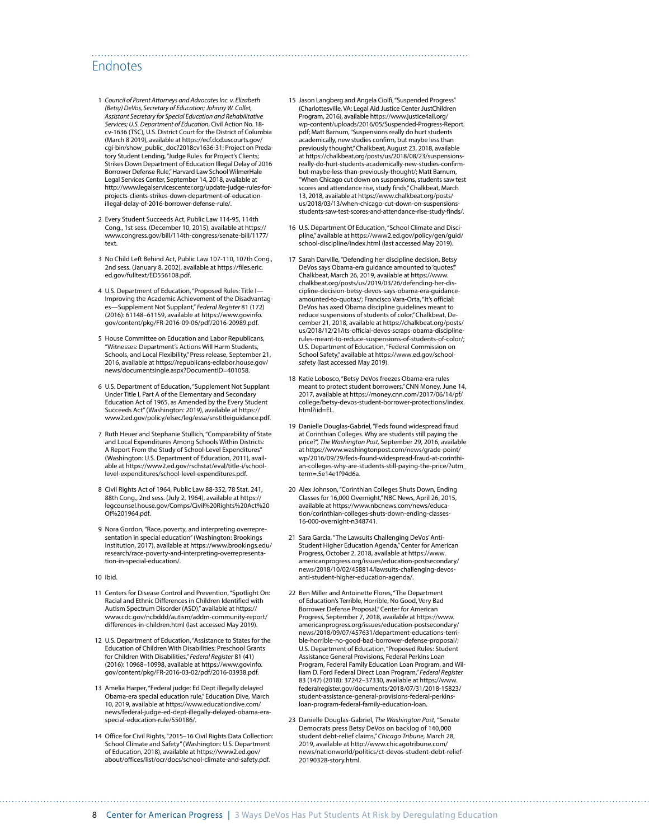### Endnotes

- 1 *Council of Parent Attorneys and Advocates Inc. v. Elizabeth (Betsy) DeVos, Secretary of Education; Johnny W. Collet, Assistant Secretary for Special Education and Rehabilitative Services; U.S. Department of Education*, Civil Action No. 18 cv-1636 (TSC), U.S. District Court for the District of Columbia (March 8 2019), available at [https://ecf.dcd.uscourts.gov/](https://ecf.dcd.uscourts.gov/cgi-bin/show_public_doc?2018cv1636-31) [cgi-bin/show\\_public\\_doc?2018cv1636-31;](https://ecf.dcd.uscourts.gov/cgi-bin/show_public_doc?2018cv1636-31) Project on Predatory Student Lending, "Judge Rules for Project's Clients; Strikes Down Department of Education Illegal Delay of 2016 Borrower Defense Rule," Harvard Law School WilmerHale Legal Services Center, September 14, 2018, available at [http://www.legalservicescenter.org/update-judge-rules-for](http://www.legalservicescenter.org/update-judge-rules-for-projects-clients-strikes-down-department-of-education-illegal-delay-of-2016-borrower-defense-rule/)[projects-clients-strikes-down-department-of-education](http://www.legalservicescenter.org/update-judge-rules-for-projects-clients-strikes-down-department-of-education-illegal-delay-of-2016-borrower-defense-rule/)[illegal-delay-of-2016-borrower-defense-rule/](http://www.legalservicescenter.org/update-judge-rules-for-projects-clients-strikes-down-department-of-education-illegal-delay-of-2016-borrower-defense-rule/).
- 2 Every Student Succeeds Act, Public Law 114-95, 114th Cong., 1st sess. (December 10, 2015), available at [https://](https://www.congress.gov/bill/114th-congress/senate-bill/1177/text) [www.congress.gov/bill/114th-congress/senate-bill/1177/](https://www.congress.gov/bill/114th-congress/senate-bill/1177/text) [text.](https://www.congress.gov/bill/114th-congress/senate-bill/1177/text)
- 3 No Child Left Behind Act, Public Law 107-110, 107th Cong., 2nd sess. (January 8, 2002), available at [https://files.eric.](https://files.eric.ed.gov/fulltext/ED556108.pdf) [ed.gov/fulltext/ED556108.pdf](https://files.eric.ed.gov/fulltext/ED556108.pdf).
- 4 U.S. Department of Education, "Proposed Rules: Title I— Improving the Academic Achievement of the Disadvantages—Supplement Not Supplant," *Federal Register* 81 (172) (2016): 61148–61159, available at [https://www.govinfo.](https://www.govinfo.gov/content/pkg/FR-2016-09-06/pdf/2016-20989.pdf) [gov/content/pkg/FR-2016-09-06/pdf/2016-20989.pdf.](https://www.govinfo.gov/content/pkg/FR-2016-09-06/pdf/2016-20989.pdf)
- 5 House Committee on Education and Labor Republicans, "Witnesses: Department's Actions Will Harm Students, Schools, and Local Flexibility," Press release, September 21, 2016, available at [https://republicans-edlabor.house.gov/](https://republicans-edlabor.house.gov/news/documentsingle.aspx?DocumentID=401058) [news/documentsingle.aspx?DocumentID=401058](https://republicans-edlabor.house.gov/news/documentsingle.aspx?DocumentID=401058).
- 6 U.S. Department of Education, "Supplement Not Supplant Under Title I, Part A of the Elementary and Secondary Education Act of 1965, as Amended by the Every Student Succeeds Act" (Washington: 2019), available at [https://](https://www2.ed.gov/policy/elsec/leg/essa/snstitleiguidance.pdf) [www2.ed.gov/policy/elsec/leg/essa/snstitleiguidance.pdf](https://www2.ed.gov/policy/elsec/leg/essa/snstitleiguidance.pdf).
- 7 Ruth Heuer and Stephanie Stullich, "Comparability of State and Local Expenditures Among Schools Within Districts: A Report From the Study of School-Level Expenditures" (Washington: U.S. Department of Education, 2011), available at [https://www2.ed.gov/rschstat/eval/title-i/school](https://www2.ed.gov/rschstat/eval/title-i/school-level-expenditures/school-level-expenditures.pdf)[level-expenditures/school-level-expenditures.pdf](https://www2.ed.gov/rschstat/eval/title-i/school-level-expenditures/school-level-expenditures.pdf).
- 8 Civil Rights Act of 1964, Public Law 88-352, 78 Stat. 241, 88th Cong., 2nd sess. (July 2, 1964), available at [https://](https://legcounsel.house.gov/Comps/Civil%20Rights%20Act%20Of%201964.pdf) [legcounsel.house.gov/Comps/Civil%20Rights%20Act%20](https://legcounsel.house.gov/Comps/Civil%20Rights%20Act%20Of%201964.pdf) [Of%201964.pdf](https://legcounsel.house.gov/Comps/Civil%20Rights%20Act%20Of%201964.pdf).
- 9 Nora Gordon, "Race, poverty, and interpreting overrepresentation in special education" (Washington: Brookings Institution, 2017), available at [https://www.brookings.edu/](https://www.brookings.edu/research/race-poverty-and-interpreting-overrepresentation-in-special-education/) [research/race-poverty-and-interpreting-overrepresenta](https://www.brookings.edu/research/race-poverty-and-interpreting-overrepresentation-in-special-education/)[tion-in-special-education/](https://www.brookings.edu/research/race-poverty-and-interpreting-overrepresentation-in-special-education/).

10 Ibid.

- 11 Centers for Disease Control and Prevention, "Spotlight On: Racial and Ethnic Differences in Children Identified with Autism Spectrum Disorder (ASD)," available at [https://](https://www.cdc.gov/ncbddd/autism/addm-community-report/differences-in-children.html) [www.cdc.gov/ncbddd/autism/addm-community-report/](https://www.cdc.gov/ncbddd/autism/addm-community-report/differences-in-children.html) [differences-in-children.html](https://www.cdc.gov/ncbddd/autism/addm-community-report/differences-in-children.html) (last accessed May 2019).
- 12 U.S. Department of Education, "Assistance to States for the Education of Children With Disabilities: Preschool Grants for Children With Disabilities," *Federal Register* 81 (41) (2016): 10968–10998, available at [https://www.govinfo.](https://www.govinfo.gov/content/pkg/FR-2016-03-02/pdf/2016-03938.pdf) [gov/content/pkg/FR-2016-03-02/pdf/2016-03938.pdf.](https://www.govinfo.gov/content/pkg/FR-2016-03-02/pdf/2016-03938.pdf)
- 13 Amelia Harper, "Federal judge: Ed Dept illegally delayed Obama-era special education rule," Education Dive, March 10, 2019, available at [https://www.educationdive.com/](https://www.educationdive.com/news/federal-judge-ed-dept-illegally-delayed-obama-era-special-education-rule/550186/) [news/federal-judge-ed-dept-illegally-delayed-obama-era](https://www.educationdive.com/news/federal-judge-ed-dept-illegally-delayed-obama-era-special-education-rule/550186/)[special-education-rule/550186/](https://www.educationdive.com/news/federal-judge-ed-dept-illegally-delayed-obama-era-special-education-rule/550186/).
- 14 Office for Civil Rights, "2015–16 Civil Rights Data Collection: School Climate and Safety" (Washington: U.S. Department of Education, 2018), available at [https://www2.ed.gov/](https://www2.ed.gov/about/offices/list/ocr/docs/school-climate-and-safety.pdf) [about/offices/list/ocr/docs/school-climate-and-safety.pdf](https://www2.ed.gov/about/offices/list/ocr/docs/school-climate-and-safety.pdf).

15 Jason Langberg and Angela Ciolfi, "Suspended Progress" (Charlottesville, VA: Legal Aid Justice Center JustChildren Program, 2016), available [https://www.justice4all.org/](https://www.justice4all.org/wp-content/uploads/2016/05/Suspended-Progress-Report.pdf) [wp-content/uploads/2016/05/Suspended-Progress-Report.](https://www.justice4all.org/wp-content/uploads/2016/05/Suspended-Progress-Report.pdf) [pdf](https://www.justice4all.org/wp-content/uploads/2016/05/Suspended-Progress-Report.pdf); Matt Barnum, "Suspensions really do hurt students academically, new studies confirm, but maybe less than previously thought," Chalkbeat, August 23, 2018, available at [https://chalkbeat.org/posts/us/2018/08/23/suspensions](https://chalkbeat.org/posts/us/2018/08/23/suspensions-really-do-hurt-students-academically-new-studies-confirm-but-maybe-less-than-previously-thought/)[really-do-hurt-students-academically-new-studies-confirm](https://chalkbeat.org/posts/us/2018/08/23/suspensions-really-do-hurt-students-academically-new-studies-confirm-but-maybe-less-than-previously-thought/)[but-maybe-less-than-previously-thought/](https://chalkbeat.org/posts/us/2018/08/23/suspensions-really-do-hurt-students-academically-new-studies-confirm-but-maybe-less-than-previously-thought/); Matt Barnum, "When Chicago cut down on suspensions, students saw test scores and attendance rise, study finds," Chalkbeat, March 13, 2018, available at [https://www.chalkbeat.org/posts/](https://www.chalkbeat.org/posts/us/2018/03/13/when-chicago-cut-down-on-suspensions-students-saw-test-scores-and-attendance-rise-study-finds/) [us/2018/03/13/when-chicago-cut-down-on-suspensions](https://www.chalkbeat.org/posts/us/2018/03/13/when-chicago-cut-down-on-suspensions-students-saw-test-scores-and-attendance-rise-study-finds/)[students-saw-test-scores-and-attendance-rise-study-finds/.](https://www.chalkbeat.org/posts/us/2018/03/13/when-chicago-cut-down-on-suspensions-students-saw-test-scores-and-attendance-rise-study-finds/)

- 16 U.S. Department Of Education, "School Climate and Discipline," available at [https://www2.ed.gov/policy/gen/guid/](https://www2.ed.gov/policy/gen/guid/school-discipline/index.html) [school-discipline/index.html](https://www2.ed.gov/policy/gen/guid/school-discipline/index.html) (last accessed May 2019).
- 17 Sarah Darville, "Defending her discipline decision, Betsy DeVos says Obama-era guidance amounted to 'quotes'," Chalkbeat, March 26, 2019, available at [https://www.](https://www.chalkbeat.org/posts/us/2019/03/26/defending-her-discipline-decision-betsy-devos-says-obama-era-guidance-amounted-to-quotas/) [chalkbeat.org/posts/us/2019/03/26/defending-her-dis](https://www.chalkbeat.org/posts/us/2019/03/26/defending-her-discipline-decision-betsy-devos-says-obama-era-guidance-amounted-to-quotas/)[cipline-decision-betsy-devos-says-obama-era-guidance](https://www.chalkbeat.org/posts/us/2019/03/26/defending-her-discipline-decision-betsy-devos-says-obama-era-guidance-amounted-to-quotas/)[amounted-to-quotas/](https://www.chalkbeat.org/posts/us/2019/03/26/defending-her-discipline-decision-betsy-devos-says-obama-era-guidance-amounted-to-quotas/); Francisco Vara-Orta, "It's official: DeVos has axed Obama discipline guidelines meant to reduce suspensions of students of color," Chalkbeat, De-cember 21, 2018, available at [https://chalkbeat.org/posts/](https://chalkbeat.org/posts/us/2018/12/21/its-official-devos-scraps-obama-discipline-rules-meant-to-reduce-suspensions-of-students-of-color/) [us/2018/12/21/its-official-devos-scraps-obama-discipline](https://chalkbeat.org/posts/us/2018/12/21/its-official-devos-scraps-obama-discipline-rules-meant-to-reduce-suspensions-of-students-of-color/)[rules-meant-to-reduce-suspensions-of-students-of-color/](https://chalkbeat.org/posts/us/2018/12/21/its-official-devos-scraps-obama-discipline-rules-meant-to-reduce-suspensions-of-students-of-color/); U.S. Department of Education, "Federal Commission on School Safety," available at [https://www.ed.gov/school](https://www.ed.gov/school-safety)[safety](https://www.ed.gov/school-safety) (last accessed May 2019).
- 18 Katie Lobosco, "Betsy DeVos freezes Obama-era rules meant to protect student borrowers," CNN Money, June 14, 2017, available at [https://money.cnn.com/2017/06/14/pf/](https://money.cnn.com/2017/06/14/pf/college/betsy-devos-student-borrower-protections/index.html?iid=EL) [college/betsy-devos-student-borrower-protections/index.](https://money.cnn.com/2017/06/14/pf/college/betsy-devos-student-borrower-protections/index.html?iid=EL) [html?iid=EL](https://money.cnn.com/2017/06/14/pf/college/betsy-devos-student-borrower-protections/index.html?iid=EL).
- 19 Danielle Douglas-Gabriel, "Feds found widespread fraud at Corinthian Colleges. Why are students still paying the price?", *The Washington Post,* September 29, 2016, available at [https://www.washingtonpost.com/news/grade-point/](https://www.washingtonpost.com/news/grade-point/wp/2016/09/29/feds-found-widespread-fraud-at-corinthian-colleges-why-are-students-still-paying-the-price/?utm_term=.5e14e1f94d6a) [wp/2016/09/29/feds-found-widespread-fraud-at-corinthi](https://www.washingtonpost.com/news/grade-point/wp/2016/09/29/feds-found-widespread-fraud-at-corinthian-colleges-why-are-students-still-paying-the-price/?utm_term=.5e14e1f94d6a)[an-colleges-why-are-students-still-paying-the-price/?utm\\_](https://www.washingtonpost.com/news/grade-point/wp/2016/09/29/feds-found-widespread-fraud-at-corinthian-colleges-why-are-students-still-paying-the-price/?utm_term=.5e14e1f94d6a) [term=.5e14e1f94d6a.](https://www.washingtonpost.com/news/grade-point/wp/2016/09/29/feds-found-widespread-fraud-at-corinthian-colleges-why-are-students-still-paying-the-price/?utm_term=.5e14e1f94d6a)
- 20 Alex Johnson, "Corinthian Colleges Shuts Down, Ending Classes for 16,000 Overnight," NBC News, April 26, 2015, available at [https://www.nbcnews.com/news/educa](https://www.nbcnews.com/news/education/corinthian-colleges-shuts-down-ending-classes-16-000-overnight-n348741)[tion/corinthian-colleges-shuts-down-ending-classes-](https://www.nbcnews.com/news/education/corinthian-colleges-shuts-down-ending-classes-16-000-overnight-n348741)[16-000-overnight-n348741.](https://www.nbcnews.com/news/education/corinthian-colleges-shuts-down-ending-classes-16-000-overnight-n348741)
- 21 Sara Garcia, "The Lawsuits Challenging DeVos' Anti-Student Higher Education Agenda," Center for American Progress, October 2, 2018, available at [https://www.](https://www.americanprogress.org/issues/education-postsecondary/news/2018/10/02/458814/lawsuits-challenging-devos-anti-student-higher-education-agenda/) [americanprogress.org/issues/education-postsecondary/](https://www.americanprogress.org/issues/education-postsecondary/news/2018/10/02/458814/lawsuits-challenging-devos-anti-student-higher-education-agenda/) [news/2018/10/02/458814/lawsuits-challenging-devos](https://www.americanprogress.org/issues/education-postsecondary/news/2018/10/02/458814/lawsuits-challenging-devos-anti-student-higher-education-agenda/)[anti-student-higher-education-agenda/](https://www.americanprogress.org/issues/education-postsecondary/news/2018/10/02/458814/lawsuits-challenging-devos-anti-student-higher-education-agenda/).
- 22 Ben Miller and Antoinette Flores, "The Department of Education's Terrible, Horrible, No Good, Very Bad Borrower Defense Proposal," Center for American Progress, September 7, 2018, available at [https://www.](https://www.americanprogress.org/issues/education-postsecondary/news/2018/09/07/457631/department-educations-terrible-horrible-no-good-bad-borrower-defense-proposal/) [americanprogress.org/issues/education-postsecondary/](https://www.americanprogress.org/issues/education-postsecondary/news/2018/09/07/457631/department-educations-terrible-horrible-no-good-bad-borrower-defense-proposal/) [news/2018/09/07/457631/department-educations-terri](https://www.americanprogress.org/issues/education-postsecondary/news/2018/09/07/457631/department-educations-terrible-horrible-no-good-bad-borrower-defense-proposal/)[ble-horrible-no-good-bad-borrower-defense-proposal/](https://www.americanprogress.org/issues/education-postsecondary/news/2018/09/07/457631/department-educations-terrible-horrible-no-good-bad-borrower-defense-proposal/); U.S. Department of Education, "Proposed Rules: Student Assistance General Provisions, Federal Perkins Loan Program, Federal Family Education Loan Program, and William D. Ford Federal Direct Loan Program," *Federal Register*  83 (147) (2018): 37242–37330, available at [https://www.](https://www.federalregister.gov/documents/2018/07/31/2018-15823/student-assistance-general-provisions-federal-perkins-loan-program-federal-family-education-loan) [federalregister.gov/documents/2018/07/31/2018-15823/](https://www.federalregister.gov/documents/2018/07/31/2018-15823/student-assistance-general-provisions-federal-perkins-loan-program-federal-family-education-loan) [student-assistance-general-provisions-federal-perkins](https://www.federalregister.gov/documents/2018/07/31/2018-15823/student-assistance-general-provisions-federal-perkins-loan-program-federal-family-education-loan)[loan-program-federal-family-education-loan](https://www.federalregister.gov/documents/2018/07/31/2018-15823/student-assistance-general-provisions-federal-perkins-loan-program-federal-family-education-loan).
- 23 Danielle Douglas-Gabriel, *The Washington Post,* "Senate Democrats press Betsy DeVos on backlog of 140,000 student debt-relief claims," *Chicago Tribune,* March 28, 2019, available at [http://www.chicagotribune.com/](http://www.chicagotribune.com/news/nationworld/politics/ct-devos-student-debt-relief-20190328-story.html) [news/nationworld/politics/ct-devos-student-debt-relief-](http://www.chicagotribune.com/news/nationworld/politics/ct-devos-student-debt-relief-20190328-story.html)[20190328-story.html](http://www.chicagotribune.com/news/nationworld/politics/ct-devos-student-debt-relief-20190328-story.html).